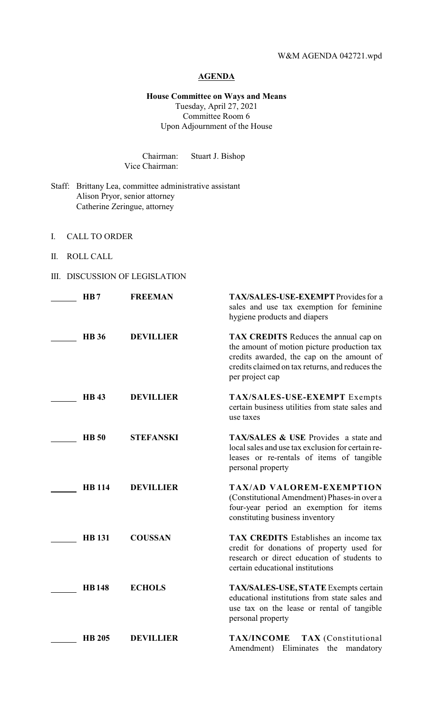# **AGENDA**

**House Committee on Ways and Means** Tuesday, April 27, 2021 Committee Room 6 Upon Adjournment of the House

Chairman: Stuart J. Bishop Vice Chairman:

- Staff: Brittany Lea, committee administrative assistant Alison Pryor, senior attorney Catherine Zeringue, attorney
- I. CALL TO ORDER
- II. ROLL CALL
- III. DISCUSSION OF LEGISLATION

| HB7           | <b>FREEMAN</b>   | TAX/SALES-USE-EXEMPT Provides for a<br>sales and use tax exemption for feminine<br>hygiene products and diapers                                                                                                |
|---------------|------------------|----------------------------------------------------------------------------------------------------------------------------------------------------------------------------------------------------------------|
| <b>HB</b> 36  | <b>DEVILLIER</b> | <b>TAX CREDITS</b> Reduces the annual cap on<br>the amount of motion picture production tax<br>credits awarded, the cap on the amount of<br>credits claimed on tax returns, and reduces the<br>per project cap |
| <b>HB43</b>   | <b>DEVILLIER</b> | TAX/SALES-USE-EXEMPT Exempts<br>certain business utilities from state sales and<br>use taxes                                                                                                                   |
| <b>HB</b> 50  | <b>STEFANSKI</b> | <b>TAX/SALES &amp; USE</b> Provides a state and<br>local sales and use tax exclusion for certain re-<br>leases or re-rentals of items of tangible<br>personal property                                         |
| <b>HB</b> 114 | <b>DEVILLIER</b> | <b>TAX/AD VALOREM-EXEMPTION</b><br>(Constitutional Amendment) Phases-in over a<br>four-year period an exemption for items<br>constituting business inventory                                                   |
| <b>HB</b> 131 | <b>COUSSAN</b>   | <b>TAX CREDITS</b> Establishes an income tax<br>credit for donations of property used for<br>research or direct education of students to<br>certain educational institutions                                   |
| <b>HB148</b>  | <b>ECHOLS</b>    | TAX/SALES-USE, STATE Exempts certain<br>educational institutions from state sales and<br>use tax on the lease or rental of tangible<br>personal property                                                       |
| <b>HB 205</b> | <b>DEVILLIER</b> | <b>TAX/INCOME</b><br><b>TAX</b> (Constitutional<br>Amendment)<br>Eliminates the<br>mandatory                                                                                                                   |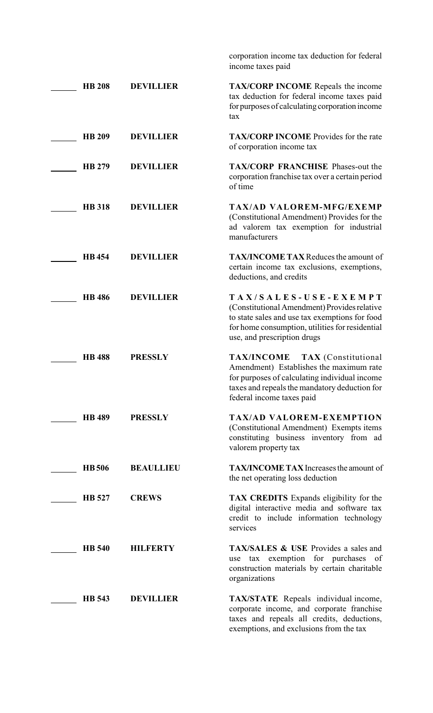|               |                  | corporation income tax deduction for federal<br>income taxes paid                                                                                                                                        |
|---------------|------------------|----------------------------------------------------------------------------------------------------------------------------------------------------------------------------------------------------------|
| <b>HB 208</b> | <b>DEVILLIER</b> | <b>TAX/CORP INCOME</b> Repeals the income<br>tax deduction for federal income taxes paid<br>for purposes of calculating corporation income<br>tax                                                        |
| <b>HB 209</b> | <b>DEVILLIER</b> | TAX/CORP INCOME Provides for the rate<br>of corporation income tax                                                                                                                                       |
| HB 279        | <b>DEVILLIER</b> | <b>TAX/CORP FRANCHISE Phases-out the</b><br>corporation franchise tax over a certain period<br>of time                                                                                                   |
| <b>HB</b> 318 | <b>DEVILLIER</b> | <b>TAX/AD VALOREM-MFG/EXEMP</b><br>(Constitutional Amendment) Provides for the<br>ad valorem tax exemption for industrial<br>manufacturers                                                               |
| <b>HB</b> 454 | <b>DEVILLIER</b> | <b>TAX/INCOME TAX Reduces the amount of</b><br>certain income tax exclusions, exemptions,<br>deductions, and credits                                                                                     |
| <b>HB</b> 486 | <b>DEVILLIER</b> | TAX/SALES-USE-EXEMPT<br>(Constitutional Amendment) Provides relative<br>to state sales and use tax exemptions for food<br>for home consumption, utilities for residential<br>use, and prescription drugs |
| <b>HB</b> 488 | <b>PRESSLY</b>   | TAX/INCOME TAX (Constitutional<br>Amendment) Establishes the maximum rate<br>for purposes of calculating individual income<br>taxes and repeals the mandatory deduction for<br>federal income taxes paid |
| <b>HB</b> 489 | <b>PRESSLY</b>   | <b>TAX/AD VALOREM-EXEMPTION</b><br>(Constitutional Amendment) Exempts items<br>constituting business inventory from ad<br>valorem property tax                                                           |
| <b>HB</b> 506 | <b>BEAULLIEU</b> | TAX/INCOME TAX Increases the amount of<br>the net operating loss deduction                                                                                                                               |
| HB 527        | <b>CREWS</b>     | <b>TAX CREDITS</b> Expands eligibility for the<br>digital interactive media and software tax<br>credit to include information technology<br>services                                                     |
| <b>HB</b> 540 | <b>HILFERTY</b>  | <b>TAX/SALES &amp; USE Provides a sales and</b><br>tax exemption for purchases of<br>use<br>construction materials by certain charitable<br>organizations                                                |
| <b>HB</b> 543 | <b>DEVILLIER</b> | <b>TAX/STATE</b> Repeals individual income,<br>corporate income, and corporate franchise<br>taxes and repeals all credits, deductions,<br>exemptions, and exclusions from the tax                        |